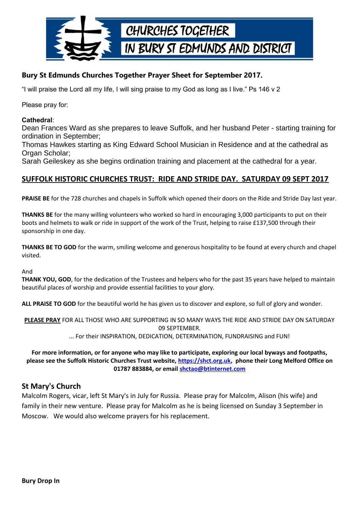

# **Bury St Edmunds Churches Together Prayer Sheet for September 2017.**

"I will praise the Lord all my life, I will sing praise to my God as long as I live." Ps 146 v 2

Please pray for:

#### **Cathedral**:

Dean Frances Ward as she prepares to leave Suffolk, and her husband Peter - starting training for ordination in September;

Thomas Hawkes starting as King Edward School Musician in Residence and at the cathedral as Organ Scholar;

Sarah Geileskey as she begins ordination training and placement at the cathedral for a year.

## **SUFFOLK HISTORIC CHURCHES TRUST: RIDE AND STRIDE DAY. SATURDAY 09 SEPT 2017**

**PRAISE BE** for the 728 churches and chapels in Suffolk which opened their doors on the Ride and Stride Day last year.

**THANKS BE** for the many willing volunteers who worked so hard in encouraging 3,000 participants to put on their boots and helmets to walk or ride in support of the work of the Trust, helping to raise £137,500 through their sponsorship in one day.

**THANKS BE TO GOD** for the warm, smiling welcome and generous hospitality to be found at every church and chapel visited.

#### And

**THANK YOU, GOD**, for the dedication of the Trustees and helpers who for the past 35 years have helped to maintain beautiful places of worship and provide essential facilities to your glory.

**ALL PRAISE TO GOD** for the beautiful world he has given us to discover and explore, so full of glory and wonder.

**PLEASE PRAY** FOR ALL THOSE WHO ARE SUPPORTING IN SO MANY WAYS THE RIDE AND STRIDE DAY ON SATURDAY 09 SEPTEMBER.

... For their INSPIRATION, DEDICATION, DETERMINATION, FUNDRAISING and FUN!

**For more information, or for anyone who may like to participate, exploring our local byways and footpaths, please see the Suffolk Historic Churches Trust website, [https://shct.org.uk,](https://shct.org.uk/) phone their Long Melford Office on 01787 883884, or email [shctao@btinternet.com](mailto:shctao@btinternet.com)**

### **St Mary's Church**

Malcolm Rogers, vicar, left St Mary's in July for Russia. Please pray for Malcolm, Alison (his wife) and family in their new venture. Please pray for Malcolm as he is being licensed on Sunday 3 September in Moscow. We would also welcome prayers for his replacement.